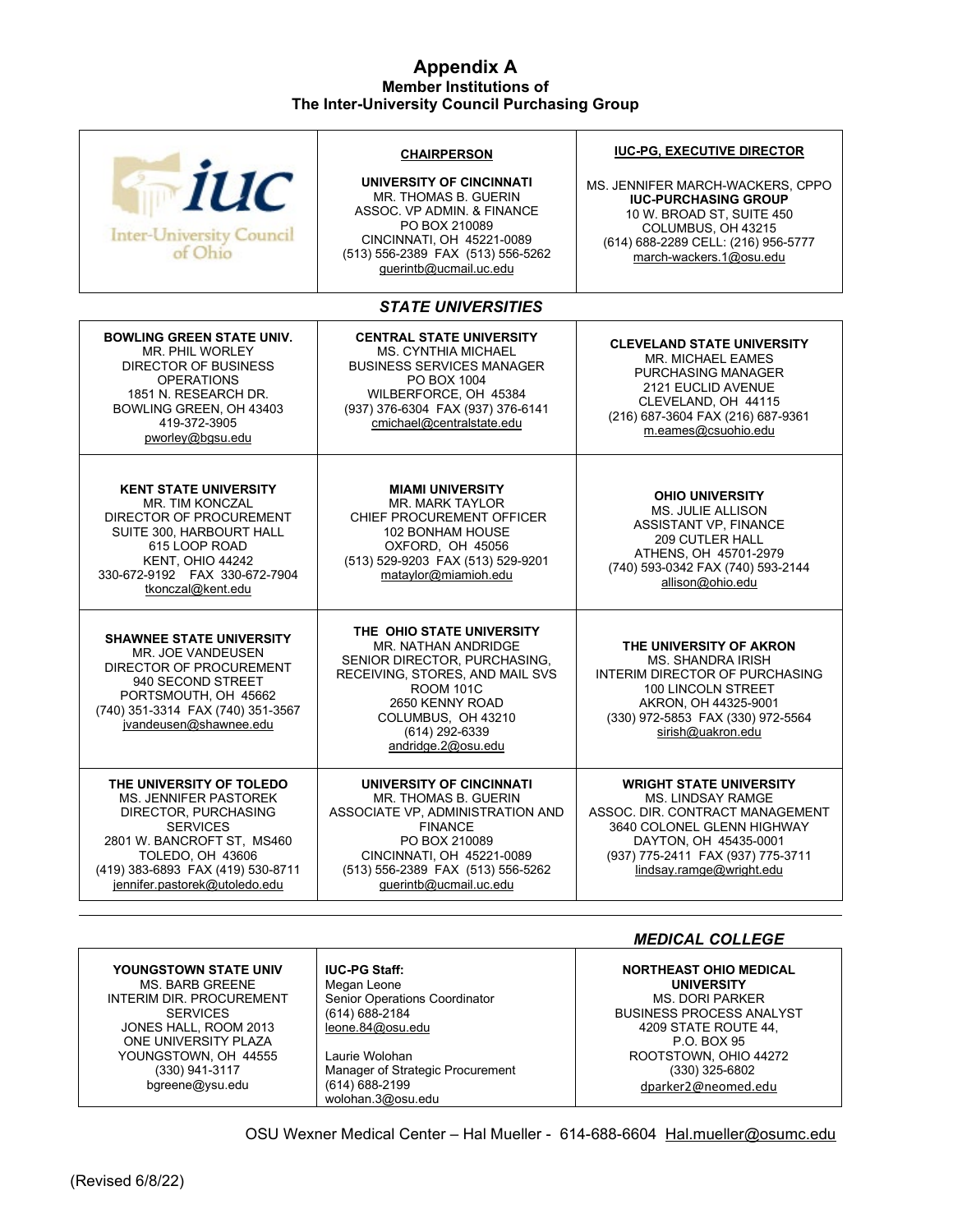## **Appendix A Member Institutions of The Inter-University Council Purchasing Group**

| <b>Mille</b><br><b>Inter-University Council</b><br>of Ohio                                                                                                                                                                  | <b>CHAIRPERSON</b><br>UNIVERSITY OF CINCINNATI<br>MR. THOMAS B. GUERIN<br>ASSOC. VP ADMIN. & FINANCE<br>PO BOX 210089<br>CINCINNATI, OH 45221-0089<br>(513) 556-2389 FAX (513) 556-5262<br>querintb@ucmail.uc.edu          | <b>IUC-PG, EXECUTIVE DIRECTOR</b><br>MS. JENNIFER MARCH-WACKERS, CPPO<br><b>IUC-PURCHASING GROUP</b><br>10 W. BROAD ST, SUITE 450<br>COLUMBUS, OH 43215<br>(614) 688-2289 CELL: (216) 956-5777<br>march-wackers.1@osu.edu |  |  |  |
|-----------------------------------------------------------------------------------------------------------------------------------------------------------------------------------------------------------------------------|----------------------------------------------------------------------------------------------------------------------------------------------------------------------------------------------------------------------------|---------------------------------------------------------------------------------------------------------------------------------------------------------------------------------------------------------------------------|--|--|--|
|                                                                                                                                                                                                                             | <b>STATE UNIVERSITIES</b>                                                                                                                                                                                                  |                                                                                                                                                                                                                           |  |  |  |
| <b>BOWLING GREEN STATE UNIV.</b><br><b>MR. PHIL WORLEY</b><br>DIRECTOR OF BUSINESS<br><b>OPERATIONS</b><br>1851 N. RESEARCH DR.<br>BOWLING GREEN, OH 43403<br>419-372-3905<br>pworley@bgsu.edu                              | <b>CENTRAL STATE UNIVERSITY</b><br><b>MS. CYNTHIA MICHAEL</b><br><b>BUSINESS SERVICES MANAGER</b><br>PO BOX 1004<br>WILBERFORCE, OH 45384<br>(937) 376-6304 FAX (937) 376-6141<br>cmichael@centralstate.edu                | <b>CLEVELAND STATE UNIVERSITY</b><br><b>MR. MICHAEL EAMES</b><br>PURCHASING MANAGER<br>2121 EUCLID AVENUE<br>CLEVELAND, OH 44115<br>(216) 687-3604 FAX (216) 687-9361<br>m.eames@csuohio.edu                              |  |  |  |
| <b>KENT STATE UNIVERSITY</b><br>MR. TIM KONCZAL<br>DIRECTOR OF PROCUREMENT<br>SUITE 300, HARBOURT HALL<br>615 LOOP ROAD<br>KENT, OHIO 44242<br>330-672-9192    FAX 330-672-7904<br>tkonczal@kent.edu                        | <b>MIAMI UNIVERSITY</b><br><b>MR. MARK TAYLOR</b><br>CHIEF PROCUREMENT OFFICER<br>102 BONHAM HOUSE<br>OXFORD, OH 45056<br>(513) 529-9203 FAX (513) 529-9201<br>mataylor@miamioh.edu                                        | <b>OHIO UNIVERSITY</b><br><b>MS. JULIE ALLISON</b><br><b>ASSISTANT VP, FINANCE</b><br><b>209 CUTLER HALL</b><br>ATHENS, OH 45701-2979<br>(740) 593-0342 FAX (740) 593-2144<br>allison@ohio.edu                            |  |  |  |
| <b>SHAWNEE STATE UNIVERSITY</b><br>MR. JOE VANDEUSEN<br>DIRECTOR OF PROCUREMENT<br>940 SECOND STREET<br>PORTSMOUTH, OH 45662<br>(740) 351-3314 FAX (740) 351-3567<br>jvandeusen@shawnee.edu                                 | THE OHIO STATE UNIVERSITY<br>MR. NATHAN ANDRIDGE<br>SENIOR DIRECTOR, PURCHASING,<br>RECEIVING, STORES, AND MAIL SVS<br><b>ROOM 101C</b><br>2650 KENNY ROAD<br>COLUMBUS, OH 43210<br>(614) 292-6339<br>andridge.2@osu.edu   | THE UNIVERSITY OF AKRON<br><b>MS. SHANDRA IRISH</b><br>INTERIM DIRECTOR OF PURCHASING<br><b>100 LINCOLN STREET</b><br>AKRON, OH 44325-9001<br>(330) 972-5853 FAX (330) 972-5564<br>sirish@uakron.edu                      |  |  |  |
| THE UNIVERSITY OF TOLEDO<br><b>MS. JENNIFER PASTOREK</b><br>DIRECTOR, PURCHASING<br><b>SERVICES</b><br>2801 W. BANCROFT ST, MS460<br>TOLEDO, OH 43606<br>(419) 383-6893 FAX (419) 530-8711<br>jennifer.pastorek@utoledo.edu | UNIVERSITY OF CINCINNATI<br><b>MR. THOMAS B. GUERIN</b><br>ASSOCIATE VP, ADMINISTRATION AND<br><b>FINANCE</b><br>PO BOX 210089<br>CINCINNATI, OH 45221-0089<br>(513) 556-2389 FAX (513) 556-5262<br>querintb@ucmail.uc.edu | <b>WRIGHT STATE UNIVERSITY</b><br><b>MS. LINDSAY RAMGE</b><br>ASSOC. DIR. CONTRACT MANAGEMENT<br>3640 COLONEL GLENN HIGHWAY<br>DAYTON, OH 45435-0001<br>(937) 775-2411 FAX (937) 775-3711<br>lindsay.ramge@wright.edu     |  |  |  |
| <b>MEDICAL COLLEGE</b>                                                                                                                                                                                                      |                                                                                                                                                                                                                            |                                                                                                                                                                                                                           |  |  |  |
|                                                                                                                                                                                                                             |                                                                                                                                                                                                                            |                                                                                                                                                                                                                           |  |  |  |

**YOUNGSTOWN STATE UNIV** MS. BARB GREENE INTERIM DIR. PROCUREMENT **SERVICES** JONES HALL, ROOM 2013 ONE UNIVERSITY PLAZA YOUNGSTOWN, OH 44555 (330) 941-3117 bgreene@ysu.edu

**IUC-PG Staff:**  Megan Leone Senior Operations Coordinator (614) 688-2184 leone.84@osu.edu

Laurie Wolohan Manager of Strategic Procurement (614) 688-2199 wolohan.3@osu.edu

**NORTHEAST OHIO MEDICAL UNIVERSITY** MS. DORI PARKER BUSINESS PROCESS ANALYST 4209 STATE ROUTE 44, P.O. BOX 95 ROOTSTOWN, OHIO 44272 (330) 325-6802 [dparker2@neomed.edu](mailto:youremail@neomed.edu)

OSU Wexner Medical Center – Hal Mueller - 614-688-6604 [Hal.mueller@osumc.edu](mailto:Hal.mueller@osumc.edu)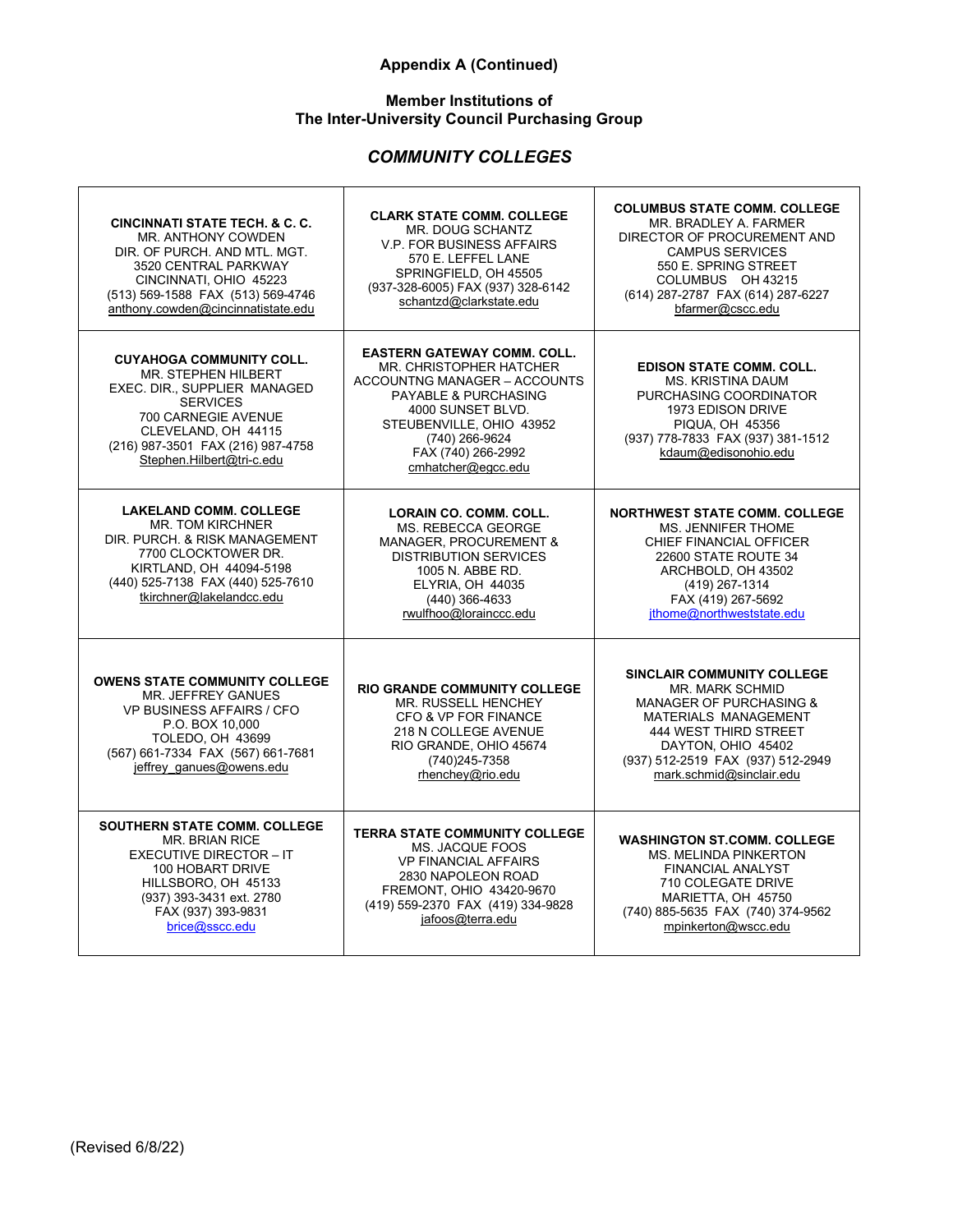# **Appendix A (Continued)**

## **Member Institutions of The Inter-University Council Purchasing Group**

# *COMMUNITY COLLEGES*

| <b>CINCINNATI STATE TECH, &amp; C. C.</b><br><b>MR. ANTHONY COWDEN</b><br>DIR. OF PURCH. AND MTL. MGT.<br>3520 CENTRAL PARKWAY<br>CINCINNATI, OHIO 45223<br>(513) 569-1588 FAX (513) 569-4746<br>anthony.cowden@cincinnatistate.edu | <b>CLARK STATE COMM. COLLEGE</b><br>MR. DOUG SCHANTZ<br><b>V.P. FOR BUSINESS AFFAIRS</b><br>570 E. LEFFEL LANE<br>SPRINGFIELD, OH 45505<br>(937-328-6005) FAX (937) 328-6142<br>schantzd@clarkstate.edu                                         | <b>COLUMBUS STATE COMM. COLLEGE</b><br>MR. BRADLEY A. FARMER<br>DIRECTOR OF PROCUREMENT AND<br><b>CAMPUS SERVICES</b><br>550 E. SPRING STREET<br>COLUMBUS OH 43215<br>(614) 287-2787 FAX (614) 287-6227<br>bfarmer@cscc.edu                      |
|-------------------------------------------------------------------------------------------------------------------------------------------------------------------------------------------------------------------------------------|-------------------------------------------------------------------------------------------------------------------------------------------------------------------------------------------------------------------------------------------------|--------------------------------------------------------------------------------------------------------------------------------------------------------------------------------------------------------------------------------------------------|
| <b>CUYAHOGA COMMUNITY COLL.</b><br>MR. STEPHEN HILBERT<br>EXEC. DIR., SUPPLIER MANAGED<br><b>SERVICES</b><br>700 CARNEGIE AVENUE<br>CLEVELAND, OH 44115<br>(216) 987-3501 FAX (216) 987-4758<br>Stephen.Hilbert@tri-c.edu           | <b>EASTERN GATEWAY COMM. COLL.</b><br>MR. CHRISTOPHER HATCHER<br>ACCOUNTNG MANAGER - ACCOUNTS<br><b>PAYABLE &amp; PURCHASING</b><br>4000 SUNSET BLVD.<br>STEUBENVILLE, OHIO 43952<br>(740) 266-9624<br>FAX (740) 266-2992<br>cmhatcher@eqcc.edu | <b>EDISON STATE COMM. COLL.</b><br><b>MS. KRISTINA DAUM</b><br>PURCHASING COORDINATOR<br>1973 EDISON DRIVE<br><b>PIQUA, OH 45356</b><br>(937) 778-7833 FAX (937) 381-1512<br>kdaum@edisonohio.edu                                                |
| <b>LAKELAND COMM. COLLEGE</b><br><b>MR. TOM KIRCHNER</b><br>DIR. PURCH. & RISK MANAGEMENT<br>7700 CLOCKTOWER DR.<br>KIRTLAND, OH 44094-5198<br>(440) 525-7138 FAX (440) 525-7610<br>tkirchner@lakelandcc.edu                        | <b>LORAIN CO. COMM. COLL.</b><br>MS. REBECCA GEORGE<br><b>MANAGER, PROCUREMENT &amp;</b><br><b>DISTRIBUTION SERVICES</b><br>1005 N. ABBE RD.<br>ELYRIA, OH 44035<br>(440) 366-4633<br>rwulfhoo@lorainccc.edu                                    | <b>NORTHWEST STATE COMM. COLLEGE</b><br><b>MS. JENNIFER THOME</b><br>CHIEF FINANCIAL OFFICER<br>22600 STATE ROUTE 34<br>ARCHBOLD, OH 43502<br>(419) 267-1314<br>FAX (419) 267-5692<br>jthome@northweststate.edu                                  |
| <b>OWENS STATE COMMUNITY COLLEGE</b><br><b>MR. JEFFREY GANUES</b><br>VP BUSINESS AFFAIRS / CFO<br>P.O. BOX 10.000<br><b>TOLEDO, OH 43699</b><br>(567) 661-7334 FAX (567) 661-7681<br>jeffrey ganues@owens.edu                       | <b>RIO GRANDE COMMUNITY COLLEGE</b><br>MR. RUSSELL HENCHEY<br>CFO & VP FOR FINANCE<br>218 N COLLEGE AVENUE<br>RIO GRANDE, OHIO 45674<br>(740) 245-7358<br>rhenchey@rio.edu                                                                      | <b>SINCLAIR COMMUNITY COLLEGE</b><br><b>MR. MARK SCHMID</b><br><b>MANAGER OF PURCHASING &amp;</b><br><b>MATERIALS MANAGEMENT</b><br>444 WEST THIRD STREET<br>DAYTON, OHIO 45402<br>(937) 512-2519 FAX (937) 512-2949<br>mark.schmid@sinclair.edu |
| <b>SOUTHERN STATE COMM. COLLEGE</b><br><b>MR. BRIAN RICE</b><br><b>EXECUTIVE DIRECTOR - IT</b><br>100 HOBART DRIVE<br>HILLSBORO, OH 45133<br>(937) 393-3431 ext. 2780<br>FAX (937) 393-9831<br>brice@sscc.edu                       | <b>TERRA STATE COMMUNITY COLLEGE</b><br>MS. JACQUE FOOS<br><b>VP FINANCIAL AFFAIRS</b><br>2830 NAPOLEON ROAD<br>FREMONT, OHIO 43420-9670<br>(419) 559-2370 FAX (419) 334-9828<br>jafoos@terra.edu                                               | <b>WASHINGTON ST.COMM. COLLEGE</b><br><b>MS. MELINDA PINKERTON</b><br><b>FINANCIAL ANALYST</b><br>710 COLEGATE DRIVE<br>MARIETTA, OH 45750<br>(740) 885-5635 FAX (740) 374-9562<br>mpinkerton@wscc.edu                                           |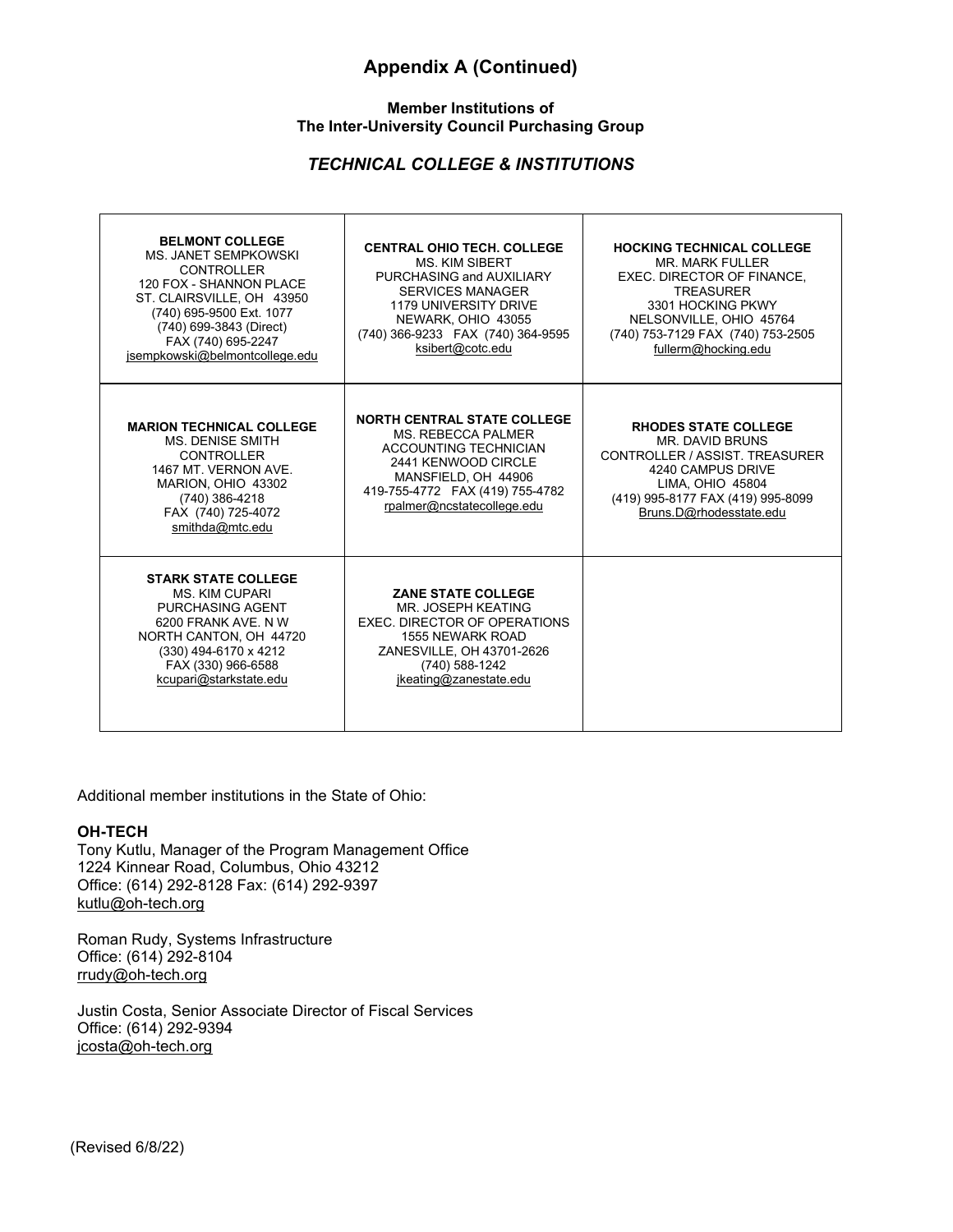# **Appendix A (Continued)**

## **Member Institutions of The Inter-University Council Purchasing Group**

## *TECHNICAL COLLEGE & INSTITUTIONS*

Τ

| <b>BELMONT COLLEGE</b><br><b>MS. JANET SEMPKOWSKI</b><br><b>CONTROLLER</b><br>120 FOX - SHANNON PLACE<br>ST. CLAIRSVILLE. OH 43950<br>(740) 695-9500 Ext. 1077<br>(740) 699-3843 (Direct)<br>FAX (740) 695-2247<br>jsempkowski@belmontcollege.edu | <b>CENTRAL OHIO TECH. COLLEGE</b><br><b>MS. KIM SIBERT</b><br>PURCHASING and AUXILIARY<br><b>SERVICES MANAGER</b><br><b>1179 UNIVERSITY DRIVE</b><br>NEWARK, OHIO 43055<br>(740) 366-9233 FAX (740) 364-9595<br>ksibert@cotc.edu | <b>HOCKING TECHNICAL COLLEGE</b><br>MR. MARK FULLER<br>EXEC. DIRECTOR OF FINANCE.<br><b>TREASURER</b><br>3301 HOCKING PKWY<br>NELSONVILLE, OHIO 45764<br>(740) 753-7129 FAX (740) 753-2505<br>fullerm@hocking.edu |
|---------------------------------------------------------------------------------------------------------------------------------------------------------------------------------------------------------------------------------------------------|----------------------------------------------------------------------------------------------------------------------------------------------------------------------------------------------------------------------------------|-------------------------------------------------------------------------------------------------------------------------------------------------------------------------------------------------------------------|
| <b>MARION TECHNICAL COLLEGE</b><br><b>MS. DENISE SMITH</b><br><b>CONTROLLER</b><br>1467 MT. VERNON AVE.<br>MARION, OHIO 43302<br>(740) 386-4218<br>FAX (740) 725-4072<br>smithda@mtc.edu                                                          | <b>NORTH CENTRAL STATE COLLEGE</b><br><b>MS. REBECCA PALMER</b><br>ACCOUNTING TECHNICIAN<br>2441 KENWOOD CIRCLE<br>MANSFIELD, OH 44906<br>419-755-4772 FAX (419) 755-4782<br>rpalmer@ncstatecollege.edu                          | <b>RHODES STATE COLLEGE</b><br><b>MR. DAVID BRUNS</b><br>CONTROLLER / ASSIST, TREASURER<br>4240 CAMPUS DRIVE<br><b>LIMA, OHIO 45804</b><br>(419) 995-8177 FAX (419) 995-8099<br>Bruns.D@rhodesstate.edu           |
| <b>STARK STATE COLLEGE</b><br><b>MS. KIM CUPARI</b><br><b>PURCHASING AGENT</b><br>6200 FRANK AVE, N W<br>NORTH CANTON, OH 44720<br>(330) 494-6170 x 4212<br>FAX (330) 966-6588<br>kcupari@starkstate.edu                                          | <b>ZANE STATE COLLEGE</b><br>MR. JOSEPH KEATING<br>EXEC. DIRECTOR OF OPERATIONS<br>1555 NEWARK ROAD<br>ZANESVILLE, OH 43701-2626<br>(740) 588-1242<br>jkeating@zanestate.edu                                                     |                                                                                                                                                                                                                   |

Additional member institutions in the State of Ohio:

#### **OH-TECH**

Г

Tony Kutlu, Manager of the Program Management Office 1224 Kinnear Road, Columbus, Ohio 43212 Office: (614) 292-8128 Fax: (614) 292-9397 kutlu@oh-tech.org

Roman Rudy, Systems Infrastructure Office: (614) 292-8104 rrudy@oh-tech.org

Justin Costa, Senior Associate Director of Fiscal Services Office: (614) 292-9394 [jcosta@oh-tech.org](mailto:jcosta@oh-tech.org)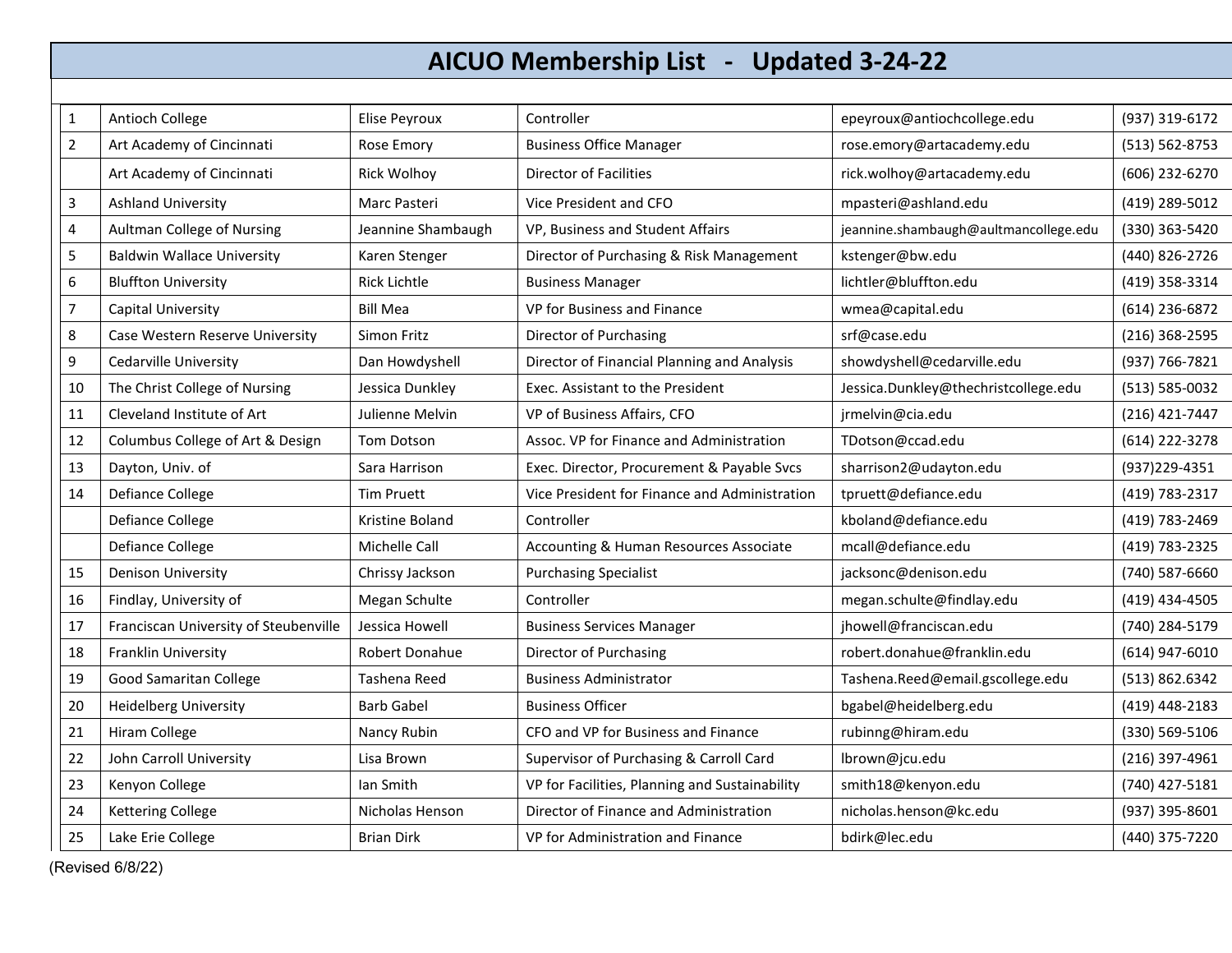# **AICUO Membership List - Updated 3-24-22**

| 1              | Antioch College                       | Elise Peyroux       | Controller                                     | epeyroux@antiochcollege.edu           | (937) 319-6172     |
|----------------|---------------------------------------|---------------------|------------------------------------------------|---------------------------------------|--------------------|
| $\overline{2}$ | Art Academy of Cincinnati             | Rose Emory          | <b>Business Office Manager</b>                 | rose.emory@artacademy.edu             | $(513) 562 - 8753$ |
|                | Art Academy of Cincinnati             | <b>Rick Wolhoy</b>  | <b>Director of Facilities</b>                  | rick.wolhoy@artacademy.edu            | (606) 232-6270     |
| 3              | <b>Ashland University</b>             | Marc Pasteri        | Vice President and CFO                         | mpasteri@ashland.edu                  | (419) 289-5012     |
| 4              | Aultman College of Nursing            | Jeannine Shambaugh  | VP, Business and Student Affairs               | jeannine.shambaugh@aultmancollege.edu | (330) 363-5420     |
| 5              | <b>Baldwin Wallace University</b>     | Karen Stenger       | Director of Purchasing & Risk Management       | kstenger@bw.edu                       | (440) 826-2726     |
| 6              | <b>Bluffton University</b>            | <b>Rick Lichtle</b> | <b>Business Manager</b>                        | lichtler@bluffton.edu                 | (419) 358-3314     |
| 7              | Capital University                    | <b>Bill Mea</b>     | VP for Business and Finance                    | wmea@capital.edu                      | (614) 236-6872     |
| 8              | Case Western Reserve University       | Simon Fritz         | Director of Purchasing                         | srf@case.edu                          | $(216)$ 368-2595   |
| 9              | <b>Cedarville University</b>          | Dan Howdyshell      | Director of Financial Planning and Analysis    | showdyshell@cedarville.edu            | (937) 766-7821     |
| 10             | The Christ College of Nursing         | Jessica Dunkley     | Exec. Assistant to the President               | Jessica.Dunkley@thechristcollege.edu  | (513) 585-0032     |
| 11             | Cleveland Institute of Art            | Julienne Melvin     | VP of Business Affairs, CFO                    | jrmelvin@cia.edu                      | (216) 421-7447     |
| 12             | Columbus College of Art & Design      | Tom Dotson          | Assoc. VP for Finance and Administration       | TDotson@ccad.edu                      | (614) 222-3278     |
| 13             | Dayton, Univ. of                      | Sara Harrison       | Exec. Director, Procurement & Payable Svcs     | sharrison2@udayton.edu                | (937) 229-4351     |
| 14             | <b>Defiance College</b>               | <b>Tim Pruett</b>   | Vice President for Finance and Administration  | tpruett@defiance.edu                  | (419) 783-2317     |
|                | Defiance College                      | Kristine Boland     | Controller                                     | kboland@defiance.edu                  | (419) 783-2469     |
|                | Defiance College                      | Michelle Call       | Accounting & Human Resources Associate         | mcall@defiance.edu                    | (419) 783-2325     |
| 15             | <b>Denison University</b>             | Chrissy Jackson     | <b>Purchasing Specialist</b>                   | jacksonc@denison.edu                  | (740) 587-6660     |
| 16             | Findlay, University of                | Megan Schulte       | Controller                                     | megan.schulte@findlay.edu             | (419) 434-4505     |
| 17             | Franciscan University of Steubenville | Jessica Howell      | <b>Business Services Manager</b>               | jhowell@franciscan.edu                | (740) 284-5179     |
| 18             | Franklin University                   | Robert Donahue      | Director of Purchasing                         | robert.donahue@franklin.edu           | (614) 947-6010     |
| 19             | <b>Good Samaritan College</b>         | Tashena Reed        | <b>Business Administrator</b>                  | Tashena.Reed@email.gscollege.edu      | (513) 862.6342     |
| 20             | <b>Heidelberg University</b>          | <b>Barb Gabel</b>   | <b>Business Officer</b>                        | bgabel@heidelberg.edu                 | (419) 448-2183     |
| 21             | Hiram College                         | Nancy Rubin         | CFO and VP for Business and Finance            | rubinng@hiram.edu                     | (330) 569-5106     |
| 22             | John Carroll University               | Lisa Brown          | Supervisor of Purchasing & Carroll Card        | Ibrown@jcu.edu                        | $(216)$ 397-4961   |
| 23             | Kenyon College                        | Ian Smith           | VP for Facilities, Planning and Sustainability | smith18@kenyon.edu                    | (740) 427-5181     |
| 24             | <b>Kettering College</b>              | Nicholas Henson     | Director of Finance and Administration         | nicholas.henson@kc.edu                | (937) 395-8601     |
| 25             | Lake Erie College                     | <b>Brian Dirk</b>   | VP for Administration and Finance              | bdirk@lec.edu                         | (440) 375-7220     |

(Revised 6/8/22)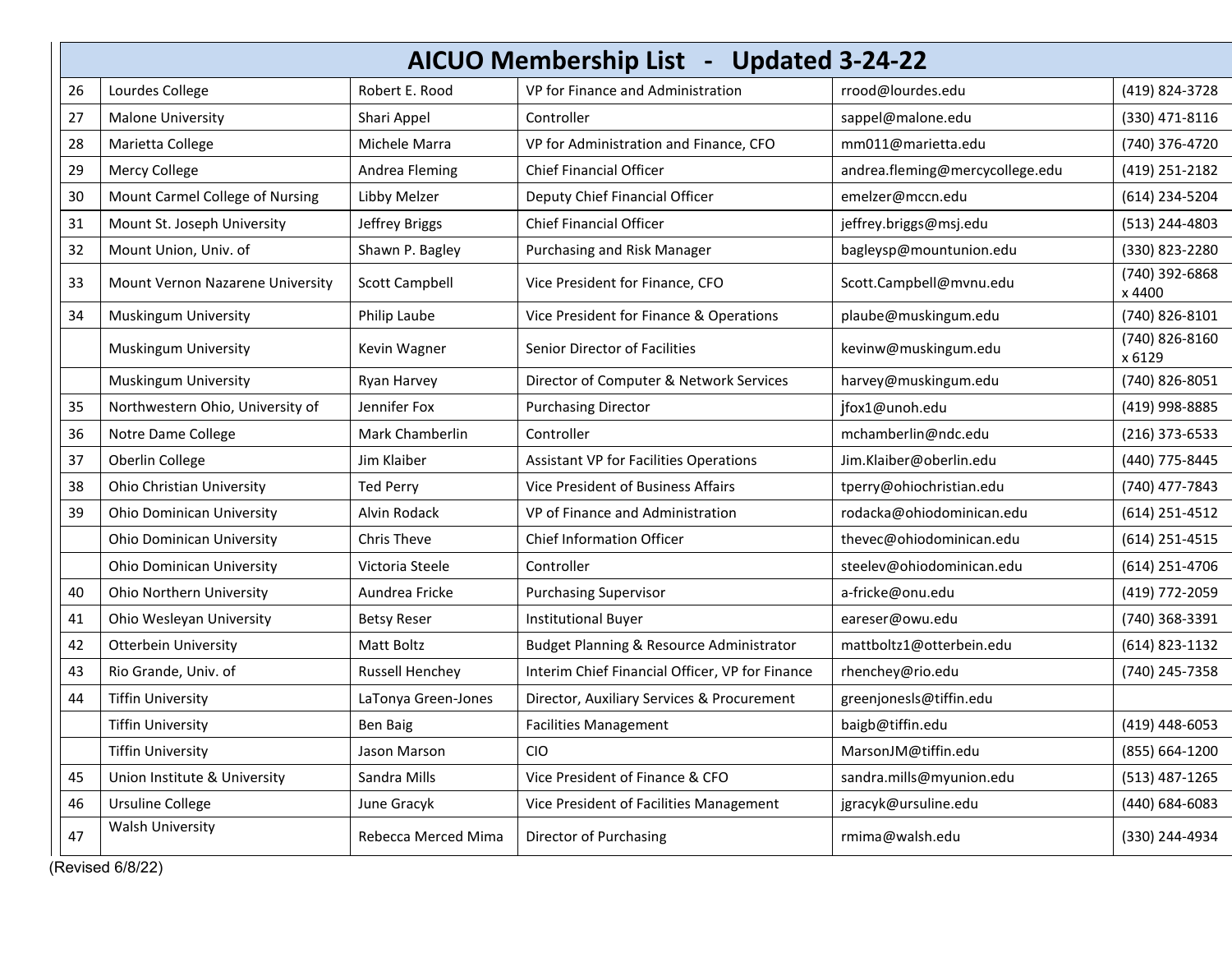|    | AICUO Membership List - Updated 3-24-22 |                        |                                                 |                                 |                          |
|----|-----------------------------------------|------------------------|-------------------------------------------------|---------------------------------|--------------------------|
| 26 | Lourdes College                         | Robert E. Rood         | VP for Finance and Administration               | rrood@lourdes.edu               | (419) 824-3728           |
| 27 | <b>Malone University</b>                | Shari Appel            | Controller                                      | sappel@malone.edu               | (330) 471-8116           |
| 28 | Marietta College                        | Michele Marra          | VP for Administration and Finance, CFO          | mm011@marietta.edu              | (740) 376-4720           |
| 29 | Mercy College                           | Andrea Fleming         | <b>Chief Financial Officer</b>                  | andrea.fleming@mercycollege.edu | (419) 251-2182           |
| 30 | Mount Carmel College of Nursing         | Libby Melzer           | Deputy Chief Financial Officer                  | emelzer@mccn.edu                | (614) 234-5204           |
| 31 | Mount St. Joseph University             | Jeffrey Briggs         | <b>Chief Financial Officer</b>                  | jeffrey.briggs@msj.edu          | (513) 244-4803           |
| 32 | Mount Union, Univ. of                   | Shawn P. Bagley        | Purchasing and Risk Manager                     | bagleysp@mountunion.edu         | (330) 823-2280           |
| 33 | Mount Vernon Nazarene University        | <b>Scott Campbell</b>  | Vice President for Finance, CFO                 | Scott.Campbell@mvnu.edu         | (740) 392-6868<br>x 4400 |
| 34 | Muskingum University                    | Philip Laube           | Vice President for Finance & Operations         | plaube@muskingum.edu            | (740) 826-8101           |
|    | Muskingum University                    | Kevin Wagner           | Senior Director of Facilities                   | kevinw@muskingum.edu            | (740) 826-8160<br>x 6129 |
|    | Muskingum University                    | Ryan Harvey            | Director of Computer & Network Services         | harvey@muskingum.edu            | (740) 826-8051           |
| 35 | Northwestern Ohio, University of        | Jennifer Fox           | <b>Purchasing Director</b>                      | jfox1@unoh.edu                  | (419) 998-8885           |
| 36 | Notre Dame College                      | Mark Chamberlin        | Controller                                      | mchamberlin@ndc.edu             | $(216)$ 373-6533         |
| 37 | Oberlin College                         | Jim Klaiber            | <b>Assistant VP for Facilities Operations</b>   | Jim.Klaiber@oberlin.edu         | (440) 775-8445           |
| 38 | Ohio Christian University               | <b>Ted Perry</b>       | Vice President of Business Affairs              | tperry@ohiochristian.edu        | (740) 477-7843           |
| 39 | Ohio Dominican University               | Alvin Rodack           | VP of Finance and Administration                | rodacka@ohiodominican.edu       | (614) 251-4512           |
|    | <b>Ohio Dominican University</b>        | Chris Theve            | <b>Chief Information Officer</b>                | thevec@ohiodominican.edu        | (614) 251-4515           |
|    | <b>Ohio Dominican University</b>        | Victoria Steele        | Controller                                      | steelev@ohiodominican.edu       | (614) 251-4706           |
| 40 | Ohio Northern University                | Aundrea Fricke         | <b>Purchasing Supervisor</b>                    | a-fricke@onu.edu                | (419) 772-2059           |
| 41 | Ohio Wesleyan University                | <b>Betsy Reser</b>     | <b>Institutional Buyer</b>                      | eareser@owu.edu                 | (740) 368-3391           |
| 42 | <b>Otterbein University</b>             | <b>Matt Boltz</b>      | Budget Planning & Resource Administrator        | mattboltz1@otterbein.edu        | (614) 823-1132           |
| 43 | Rio Grande, Univ. of                    | <b>Russell Henchey</b> | Interim Chief Financial Officer, VP for Finance | rhenchey@rio.edu                | (740) 245-7358           |
| 44 | <b>Tiffin University</b>                | LaTonya Green-Jones    | Director, Auxiliary Services & Procurement      | greenjonesls@tiffin.edu         |                          |
|    | <b>Tiffin University</b>                | <b>Ben Baig</b>        | <b>Facilities Management</b>                    | baigb@tiffin.edu                | (419) 448-6053           |
|    | <b>Tiffin University</b>                | Jason Marson           | <b>CIO</b>                                      | MarsonJM@tiffin.edu             | (855) 664-1200           |
| 45 | Union Institute & University            | Sandra Mills           | Vice President of Finance & CFO                 | sandra.mills@myunion.edu        | $(513)$ 487-1265         |
| 46 | <b>Ursuline College</b>                 | June Gracyk            | Vice President of Facilities Management         | jgracyk@ursuline.edu            | (440) 684-6083           |
| 47 | <b>Walsh University</b>                 | Rebecca Merced Mima    | Director of Purchasing                          | rmima@walsh.edu                 | (330) 244-4934           |

(Revised 6/8/22)